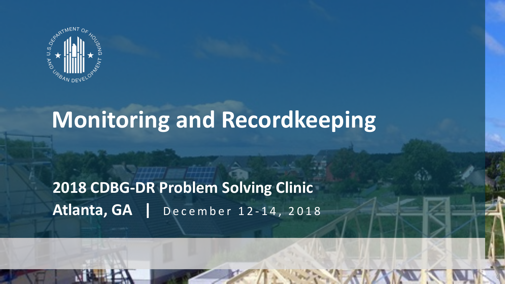

**2018 CDBG-DR PROGRAM** 

# **Monitoring and Recordkeeping**

 $\mathbb{Q}$ 

#### **2018 CDBG-DR Problem Solving Clinic Atlanta, GA |** December 12 - 14, 2018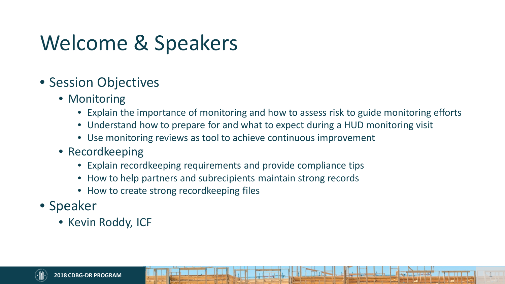# Welcome & Speakers

- Session Objectives
	- Monitoring
		- Explain the importance of monitoring and how to assess risk to guide monitoring efforts

1

- Understand how to prepare for and what to expect during a HUD monitoring visit
- Use monitoring reviews as tool to achieve continuous improvement
- Recordkeeping
	- Explain recordkeeping requirements and provide compliance tips
	- How to help partners and subrecipients maintain strong records
	- How to create strong recordkeeping files
- Speaker
	- Kevin Roddy, ICF

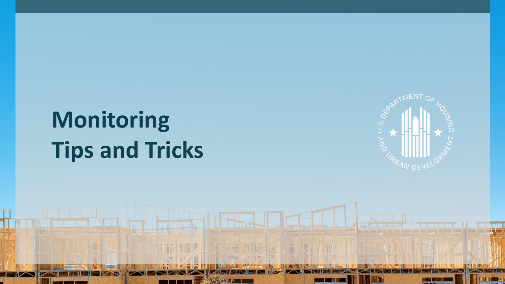# **Monitoring Tips and Tricks**

「撮影

H

T

**2018 CDBG-DR PROGRAM** 



2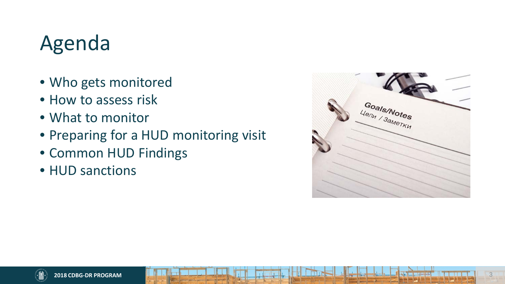# Agenda

- Who gets monitored
- How to assess risk
- What to monitor
- Preparing for a HUD monitoring visit
- Common HUD Findings
- HUD sanctions

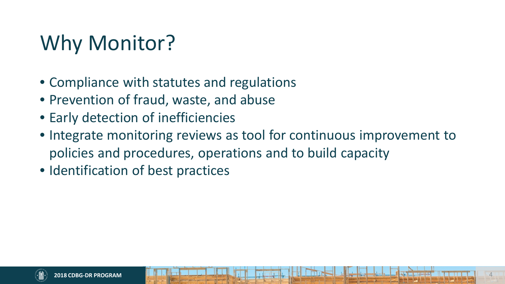# Why Monitor?

- Compliance with statutes and regulations
- Prevention of fraud, waste, and abuse
- Early detection of inefficiencies
- Integrate monitoring reviews as tool for continuous improvement to policies and procedures, operations and to build capacity
- Identification of best practices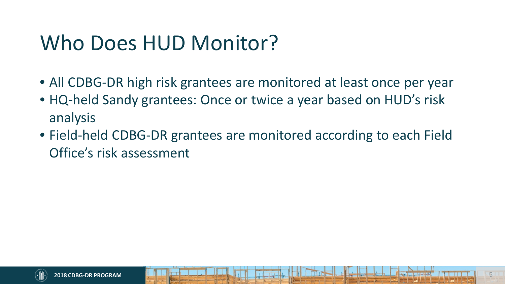# Who Does HUD Monitor?

- All CDBG-DR high risk grantees are monitored at least once per year
- HQ-held Sandy grantees: Once or twice a year based on HUD's risk analysis
- Field-held CDBG-DR grantees are monitored according to each Field Office's risk assessment

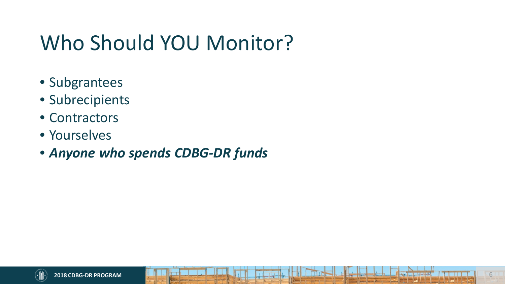# Who Should YOU Monitor?

- Subgrantees
- Subrecipients
- Contractors
- Yourselves
- *Anyone who spends CDBG-DR funds*

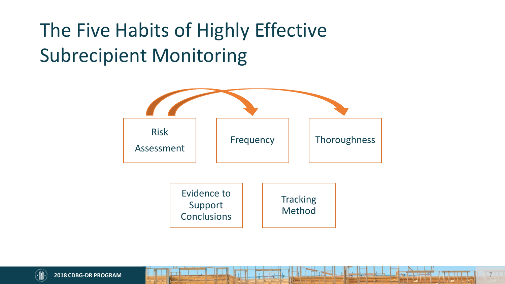# The Five Habits of Highly Effective Subrecipient Monitoring



7

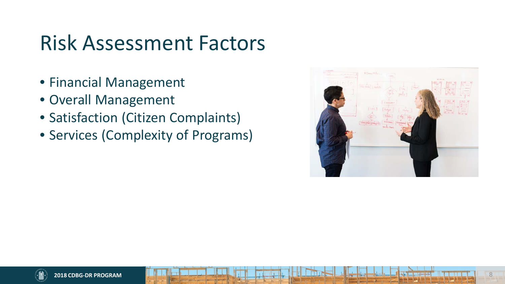### Risk Assessment Factors

- Financial Management
- Overall Management
- Satisfaction (Citizen Complaints)
- Services (Complexity of Programs)

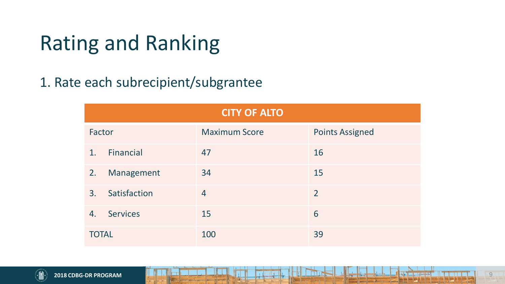# Rating and Ranking

#### 1. Rate each subrecipient/subgrantee

| <b>CITY OF ALTO</b> |                 |                      |                        |  |  |  |
|---------------------|-----------------|----------------------|------------------------|--|--|--|
| Factor              |                 | <b>Maximum Score</b> | <b>Points Assigned</b> |  |  |  |
| 1 <sub>1</sub>      | Financial       | 47                   | 16                     |  |  |  |
| 2.                  | Management      | 34                   | 15                     |  |  |  |
| 3.                  | Satisfaction    | $\overline{4}$       | $\overline{2}$         |  |  |  |
| 4.                  | <b>Services</b> | 15                   | 6                      |  |  |  |
| <b>TOTAL</b>        |                 | 100                  | 39                     |  |  |  |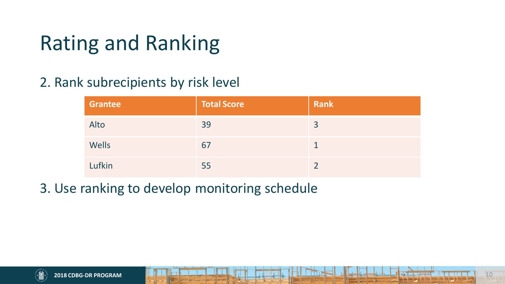# Rating and Ranking

#### 2. Rank subrecipients by risk level

| <b>Grantee</b> | <b>Total Score</b> | <b>Rank</b> |
|----------------|--------------------|-------------|
| Alto           | 39                 | 3           |
| Wells          | 67                 |             |
| Lufkin         | 55                 |             |

3. Use ranking to develop monitoring schedule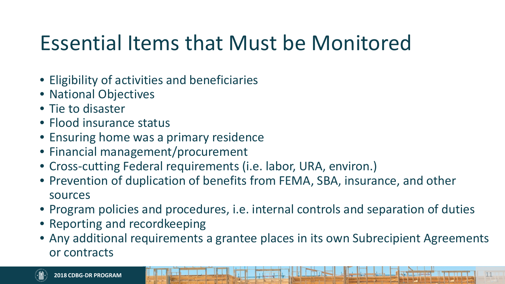# Essential Items that Must be Monitored

- Eligibility of activities and beneficiaries
- National Objectives
- Tie to disaster
- Flood insurance status
- Ensuring home was a primary residence
- Financial management/procurement
- Cross-cutting Federal requirements (i.e. labor, URA, environ.)
- Prevention of duplication of benefits from FEMA, SBA, insurance, and other sources
- Program policies and procedures, i.e. internal controls and separation of duties
- Reporting and recordkeeping
- Any additional requirements a grantee places in its own Subrecipient Agreements or contracts

11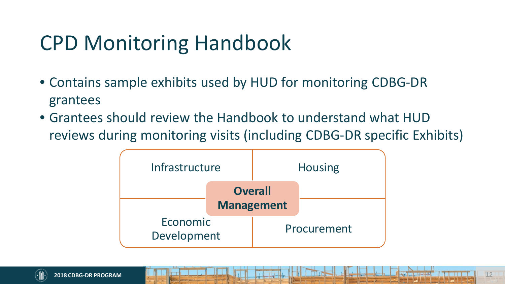# CPD Monitoring Handbook

- Contains sample exhibits used by HUD for monitoring CDBG-DR grantees
- Grantees should review the Handbook to understand what HUD reviews during monitoring visits (including CDBG-DR specific Exhibits)

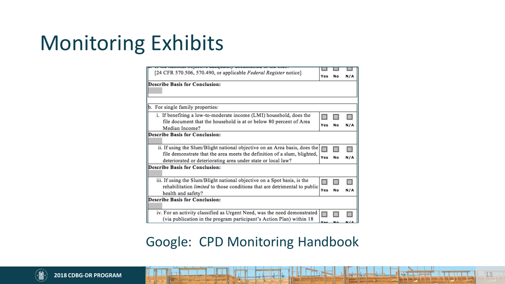# Monitoring Exhibits

| 15 the national objective aucquatery upcumented in the mest                      |     |    |     |  |  |  |
|----------------------------------------------------------------------------------|-----|----|-----|--|--|--|
| [24 CFR 570.506, 570.490, or applicable Federal Register notice]                 |     |    |     |  |  |  |
|                                                                                  | Yes |    | N/A |  |  |  |
| <b>Describe Basis for Conclusion:</b>                                            |     |    |     |  |  |  |
|                                                                                  |     |    |     |  |  |  |
|                                                                                  |     |    |     |  |  |  |
|                                                                                  |     |    |     |  |  |  |
| b. For single family properties:                                                 |     |    |     |  |  |  |
| i. If benefiting a low-to-moderate income (LMI) household, does the              |     |    |     |  |  |  |
| file document that the household is at or below 80 percent of Area               |     |    |     |  |  |  |
| Median Income?                                                                   | Yes |    |     |  |  |  |
|                                                                                  |     |    |     |  |  |  |
| <b>Describe Basis for Conclusion:</b>                                            |     |    |     |  |  |  |
|                                                                                  |     |    |     |  |  |  |
| ii. If using the Slum/Blight national objective on an Area basis, does the       |     |    |     |  |  |  |
| file demonstrate that the area meets the definition of a slum, blighted,         |     |    |     |  |  |  |
| deteriorated or deteriorating area under state or local law?                     | Yes | No | N/A |  |  |  |
| <b>Describe Basis for Conclusion:</b>                                            |     |    |     |  |  |  |
|                                                                                  |     |    |     |  |  |  |
| iii. If using the Slum/Blight national objective on a Spot basis, is the         |     |    |     |  |  |  |
| rehabilitation <i>limited</i> to those conditions that are detrimental to public |     |    |     |  |  |  |
| health and safety?                                                               | Yes | No | N/A |  |  |  |
| <b>Describe Basis for Conclusion:</b>                                            |     |    |     |  |  |  |
|                                                                                  |     |    |     |  |  |  |
| iv. For an activity classified as Urgent Need, was the need demonstrated         |     |    |     |  |  |  |
| (via publication in the program participant's Action Plan) within 18             |     |    |     |  |  |  |
|                                                                                  |     |    |     |  |  |  |

#### Google: CPD Monitoring Handbook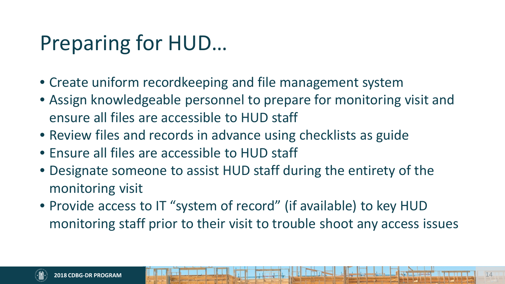# Preparing for HUD…

- Create uniform recordkeeping and file management system
- Assign knowledgeable personnel to prepare for monitoring visit and ensure all files are accessible to HUD staff
- Review files and records in advance using checklists as guide
- Ensure all files are accessible to HUD staff
- Designate someone to assist HUD staff during the entirety of the monitoring visit
- Provide access to IT "system of record" (if available) to key HUD monitoring staff prior to their visit to trouble shoot any access issues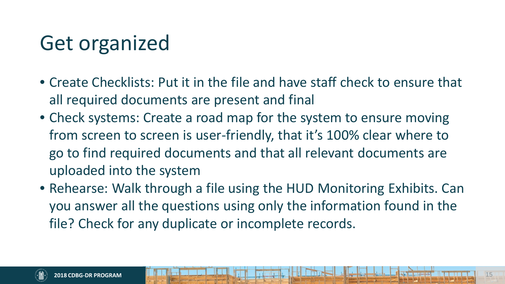# Get organized

- Create Checklists: Put it in the file and have staff check to ensure that all required documents are present and final
- Check systems: Create a road map for the system to ensure moving from screen to screen is user-friendly, that it's 100% clear where to go to find required documents and that all relevant documents are uploaded into the system
- Rehearse: Walk through a file using the HUD Monitoring Exhibits. Can you answer all the questions using only the information found in the file? Check for any duplicate or incomplete records.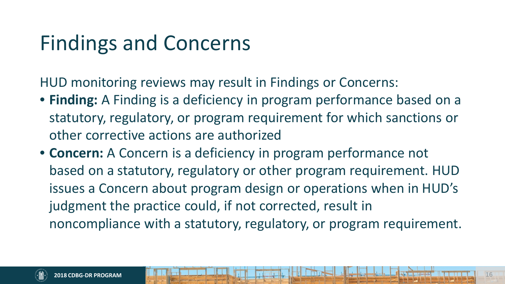# Findings and Concerns

HUD monitoring reviews may result in Findings or Concerns:

- **Finding:** A Finding is a deficiency in program performance based on a statutory, regulatory, or program requirement for which sanctions or other corrective actions are authorized
- **Concern:** A Concern is a deficiency in program performance not based on a statutory, regulatory or other program requirement. HUD issues a Concern about program design or operations when in HUD's judgment the practice could, if not corrected, result in noncompliance with a statutory, regulatory, or program requirement.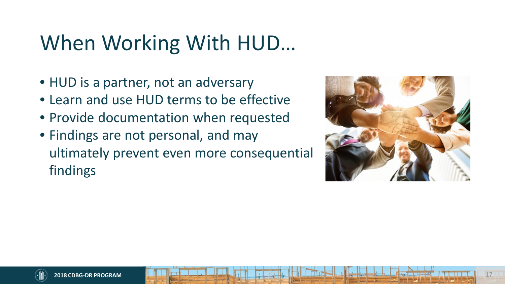# When Working With HUD…

- HUD is a partner, not an adversary
- Learn and use HUD terms to be effective
- Provide documentation when requested
- Findings are not personal, and may ultimately prevent even more consequential findings

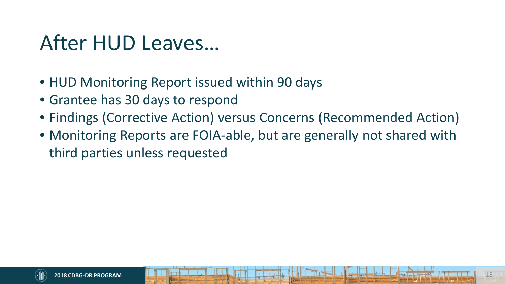### After HUD Leaves…

- HUD Monitoring Report issued within 90 days
- Grantee has 30 days to respond
- Findings (Corrective Action) versus Concerns (Recommended Action)
- Monitoring Reports are FOIA-able, but are generally not shared with third parties unless requested

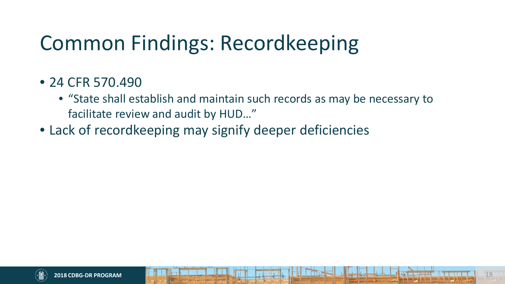# Common Findings: Recordkeeping

- 24 CFR 570.490
	- "State shall establish and maintain such records as may be necessary to facilitate review and audit by HUD…"
- Lack of recordkeeping may signify deeper deficiencies

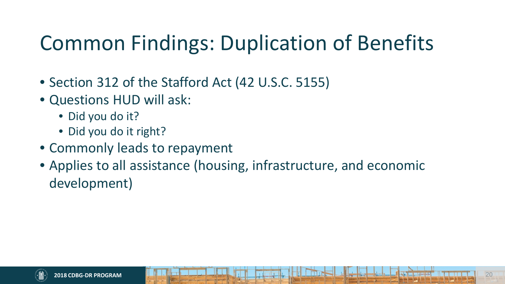# Common Findings: Duplication of Benefits

- Section 312 of the Stafford Act (42 U.S.C. 5155)
- Questions HUD will ask:
	- Did you do it?
	- Did you do it right?
- Commonly leads to repayment
- Applies to all assistance (housing, infrastructure, and economic development)

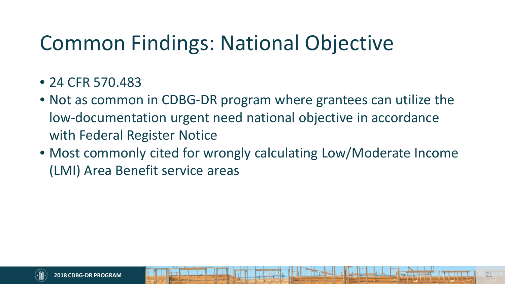# Common Findings: National Objective

- 24 CFR 570.483
- Not as common in CDBG-DR program where grantees can utilize the low-documentation urgent need national objective in accordance with Federal Register Notice
- Most commonly cited for wrongly calculating Low/Moderate Income (LMI) Area Benefit service areas

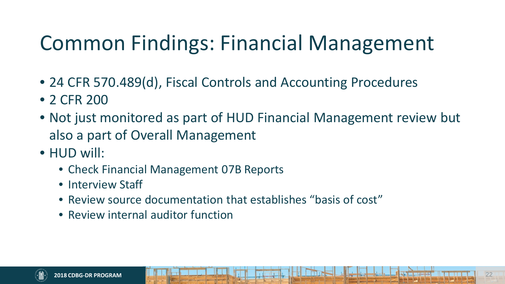# Common Findings: Financial Management

- 24 CFR 570.489(d), Fiscal Controls and Accounting Procedures
- 2 CFR 200
- Not just monitored as part of HUD Financial Management review but also a part of Overall Management
- HUD will:
	- Check Financial Management 07B Reports
	- Interview Staff
	- Review source documentation that establishes "basis of cost"
	- Review internal auditor function

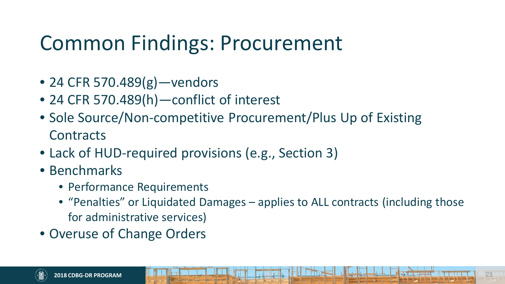# Common Findings: Procurement

- 24 CFR 570.489(g) vendors
- 24 CFR 570.489(h)—conflict of interest
- Sole Source/Non-competitive Procurement/Plus Up of Existing **Contracts**
- Lack of HUD-required provisions (e.g., Section 3)
- Benchmarks
	- Performance Requirements
	- "Penalties" or Liquidated Damages applies to ALL contracts (including those for administrative services)
- Overuse of Change Orders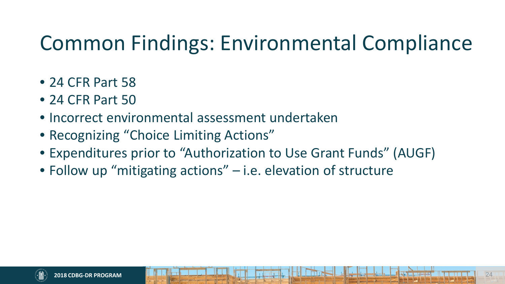# Common Findings: Environmental Compliance

- 24 CFR Part 58
- 24 CFR Part 50
- Incorrect environmental assessment undertaken
- Recognizing "Choice Limiting Actions"
- Expenditures prior to "Authorization to Use Grant Funds" (AUGF)
- Follow up "mitigating actions" i.e. elevation of structure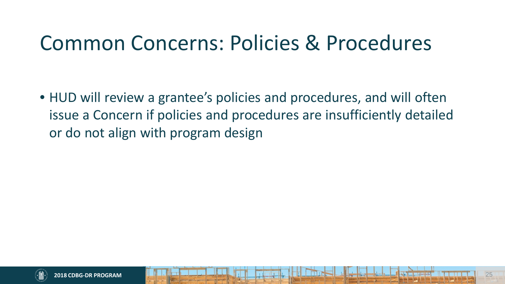### Common Concerns: Policies & Procedures

• HUD will review a grantee's policies and procedures, and will often issue a Concern if policies and procedures are insufficiently detailed or do not align with program design

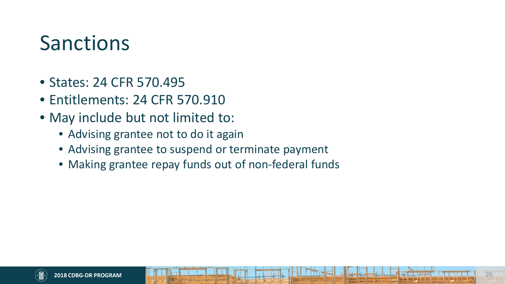#### Sanctions

- States: 24 CFR 570.495
- Entitlements: 24 CFR 570.910
- May include but not limited to:
	- Advising grantee not to do it again
	- Advising grantee to suspend or terminate payment
	- Making grantee repay funds out of non-federal funds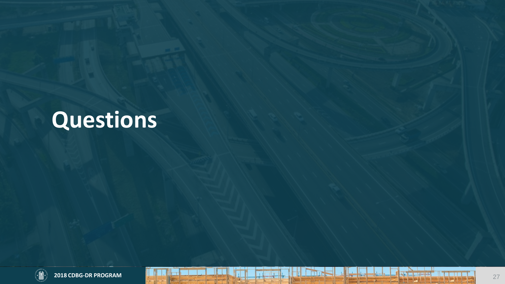# **Questions**



 $\mathbf{r}$ 

T.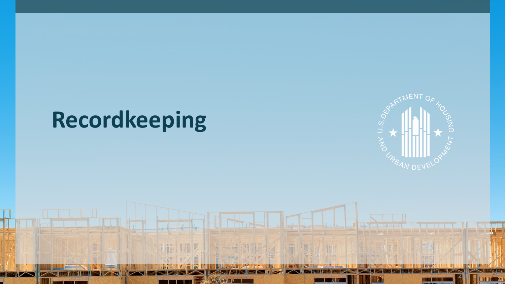# **Recordkeeping**

The second second second second and responsibilities in the second second second second second second second second second second second second second second second second second second second second second second second s

tribu

**THEFT** 

**2018 CDBG-DR PROGRAM** 



28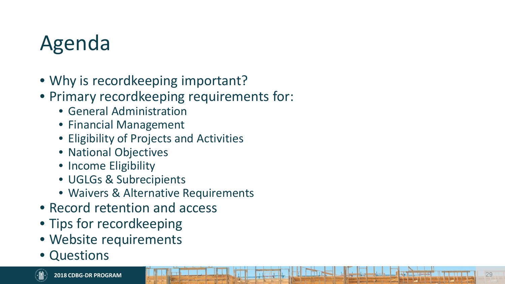# Agenda

- Why is record keeping important?
- Primary recordkeeping requirements for:
	- General Administration
	- Financial Management
	- Eligibility of Projects and Activities
	- National Objectives
	- Income Eligibility
	- UGLGs & Subrecipients
	- Waivers & Alternative Requirements
- Record retention and access
- Tips for recordkeeping
- Website requirements
- Questions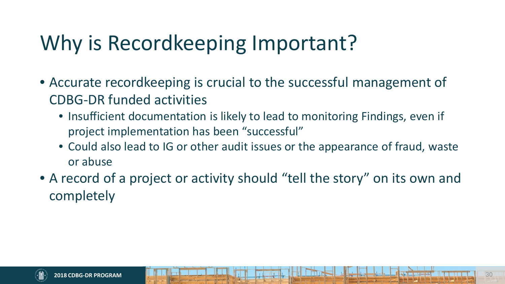# Why is Recordkeeping Important?

- Accurate recordkeeping is crucial to the successful management of CDBG-DR funded activities
	- Insufficient documentation is likely to lead to monitoring Findings, even if project implementation has been "successful"
	- Could also lead to IG or other audit issues or the appearance of fraud, waste or abuse
- A record of a project or activity should "tell the story" on its own and completely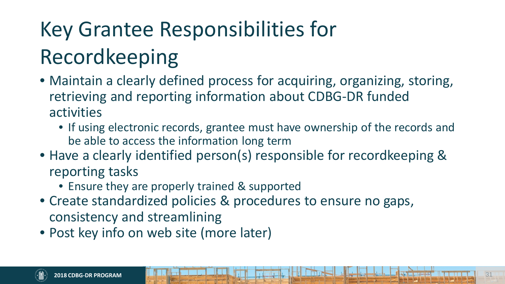# Key Grantee Responsibilities for Recordkeeping

- Maintain a clearly defined process for acquiring, organizing, storing, retrieving and reporting information about CDBG-DR funded activities
	- If using electronic records, grantee must have ownership of the records and be able to access the information long term
- Have a clearly identified person(s) responsible for recordkeeping & reporting tasks
	- Ensure they are properly trained & supported
- Create standardized policies & procedures to ensure no gaps, consistency and streamlining
- Post key info on web site (more later)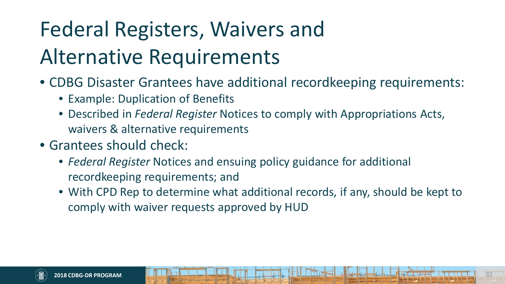# Federal Registers, Waivers and Alternative Requirements

- CDBG Disaster Grantees have additional recordkeeping requirements:
	- Example: Duplication of Benefits
	- Described in *Federal Register* Notices to comply with Appropriations Acts, waivers & alternative requirements
- Grantees should check:
	- *Federal Register* Notices and ensuing policy guidance for additional recordkeeping requirements; and
	- With CPD Rep to determine what additional records, if any, should be kept to comply with waiver requests approved by HUD

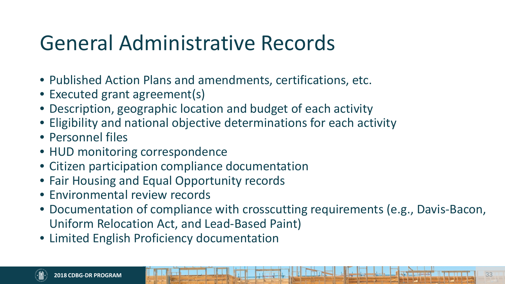## General Administrative Records

- Published Action Plans and amendments, certifications, etc.
- Executed grant agreement(s)
- Description, geographic location and budget of each activity
- Eligibility and national objective determinations for each activity
- Personnel files
- HUD monitoring correspondence
- Citizen participation compliance documentation
- Fair Housing and Equal Opportunity records
- Environmental review records
- Documentation of compliance with crosscutting requirements (e.g., Davis-Bacon, Uniform Relocation Act, and Lead-Based Paint)
- Limited English Proficiency documentation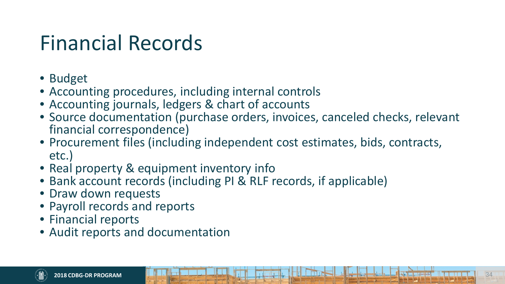# Financial Records

- Budget
- Accounting procedures, including internal controls
- Accounting journals, ledgers & chart of accounts
- Source documentation (purchase orders, invoices, canceled checks, relevant financial correspondence)
- Procurement files (including independent cost estimates, bids, contracts, etc.)
- Real property & equipment inventory info
- Bank account records (including PI & RLF records, if applicable)
- Draw down requests
- Payroll records and reports
- Financial reports
- Audit reports and documentation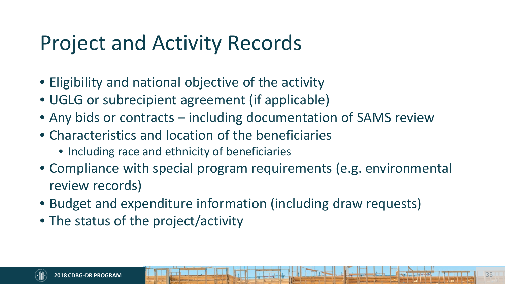# Project and Activity Records

- Eligibility and national objective of the activity
- UGLG or subrecipient agreement (if applicable)
- Any bids or contracts including documentation of SAMS review
- Characteristics and location of the beneficiaries
	- Including race and ethnicity of beneficiaries
- Compliance with special program requirements (e.g. environmental review records)
- Budget and expenditure information (including draw requests)
- The status of the project/activity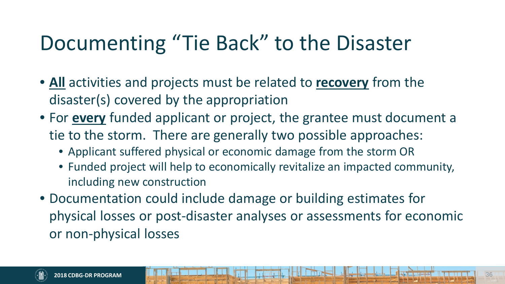# Documenting "Tie Back" to the Disaster

- **All** activities and projects must be related to **recovery** from the disaster(s) covered by the appropriation
- For **every** funded applicant or project, the grantee must document a tie to the storm. There are generally two possible approaches:
	- Applicant suffered physical or economic damage from the storm OR
	- Funded project will help to economically revitalize an impacted community, including new construction
- Documentation could include damage or building estimates for physical losses or post-disaster analyses or assessments for economic or non-physical losses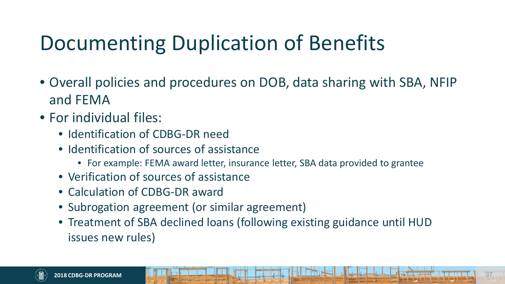# Documenting Duplication of Benefits

- Overall policies and procedures on DOB, data sharing with SBA, NFIP and FEMA
- For individual files:
	- Identification of CDBG-DR need
	- Identification of sources of assistance
		- For example: FEMA award letter, insurance letter, SBA data provided to grantee
	- Verification of sources of assistance
	- Calculation of CDBG-DR award
	- Subrogation agreement (or similar agreement)
	- Treatment of SBA declined loans (following existing guidance until HUD issues new rules)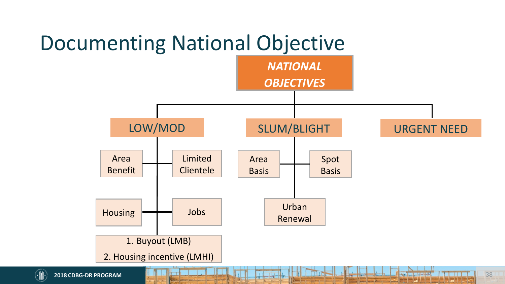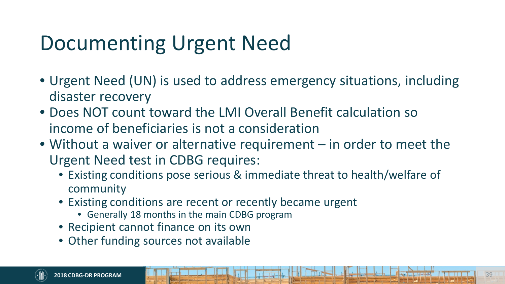# Documenting Urgent Need

- Urgent Need (UN) is used to address emergency situations, including disaster recovery
- Does NOT count toward the LMI Overall Benefit calculation so income of beneficiaries is not a consideration
- Without a waiver or alternative requirement in order to meet the Urgent Need test in CDBG requires:
	- Existing conditions pose serious & immediate threat to health/welfare of community
	- Existing conditions are recent or recently became urgent
		- Generally 18 months in the main CDBG program
	- Recipient cannot finance on its own
	- Other funding sources not available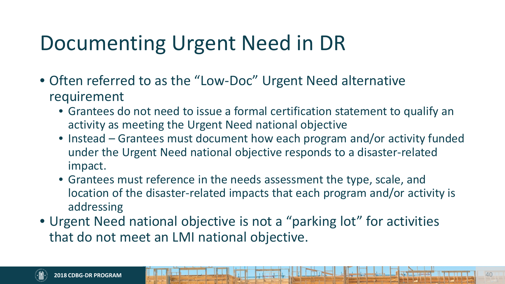# Documenting Urgent Need in DR

- Often referred to as the "Low-Doc" Urgent Need alternative requirement
	- Grantees do not need to issue a formal certification statement to qualify an activity as meeting the Urgent Need national objective
	- Instead Grantees must document how each program and/or activity funded under the Urgent Need national objective responds to a disaster-related impact.
	- Grantees must reference in the needs assessment the type, scale, and location of the disaster-related impacts that each program and/or activity is addressing
- Urgent Need national objective is not a "parking lot" for activities that do not meet an LMI national objective.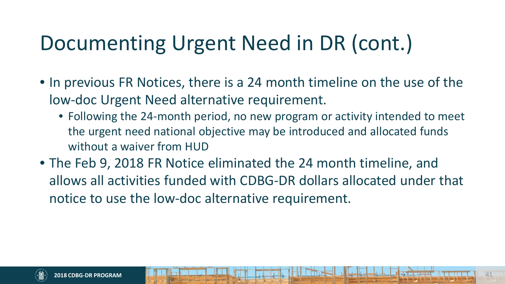# Documenting Urgent Need in DR (cont.)

- In previous FR Notices, there is a 24 month timeline on the use of the low-doc Urgent Need alternative requirement.
	- Following the 24-month period, no new program or activity intended to meet the urgent need national objective may be introduced and allocated funds without a waiver from HUD
- The Feb 9, 2018 FR Notice eliminated the 24 month timeline, and allows all activities funded with CDBG-DR dollars allocated under that notice to use the low-doc alternative requirement.

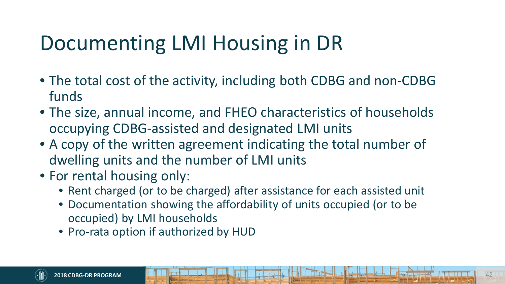# Documenting LMI Housing in DR

- The total cost of the activity, including both CDBG and non-CDBG funds
- The size, annual income, and FHEO characteristics of households occupying CDBG-assisted and designated LMI units
- A copy of the written agreement indicating the total number of dwelling units and the number of LMI units
- For rental housing only:
	- Rent charged (or to be charged) after assistance for each assisted unit
	- Documentation showing the affordability of units occupied (or to be occupied) by LMI households
	- Pro-rata option if authorized by HUD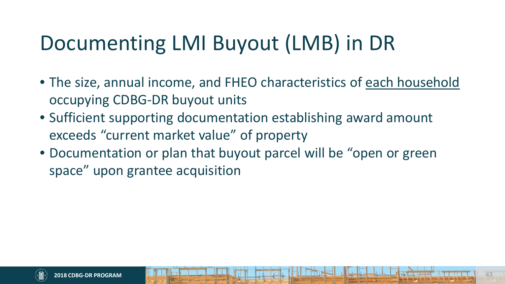# Documenting LMI Buyout (LMB) in DR

- The size, annual income, and FHEO characteristics of each household occupying CDBG-DR buyout units
- Sufficient supporting documentation establishing award amount exceeds "current market value" of property
- Documentation or plan that buyout parcel will be "open or green space" upon grantee acquisition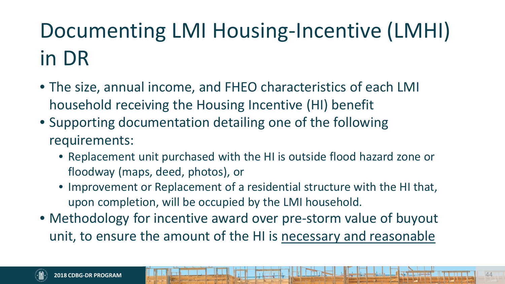# Documenting LMI Housing-Incentive (LMHI) in DR

- The size, annual income, and FHEO characteristics of each LMI household receiving the Housing Incentive (HI) benefit
- Supporting documentation detailing one of the following requirements:
	- Replacement unit purchased with the HI is outside flood hazard zone or floodway (maps, deed, photos), or
	- Improvement or Replacement of a residential structure with the HI that, upon completion, will be occupied by the LMI household.
- Methodology for incentive award over pre-storm value of buyout unit, to ensure the amount of the HI is necessary and reasonable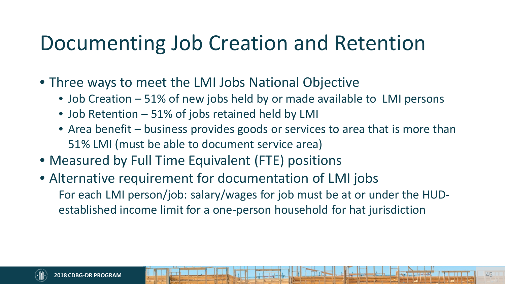# Documenting Job Creation and Retention

- Three ways to meet the LMI Jobs National Objective
	- Job Creation 51% of new jobs held by or made available to LMI persons
	- Job Retention 51% of jobs retained held by LMI
	- Area benefit business provides goods or services to area that is more than 51% LMI (must be able to document service area)
- Measured by Full Time Equivalent (FTE) positions
- Alternative requirement for documentation of LMI jobs For each LMI person/job: salary/wages for job must be at or under the HUDestablished income limit for a one-person household for hat jurisdiction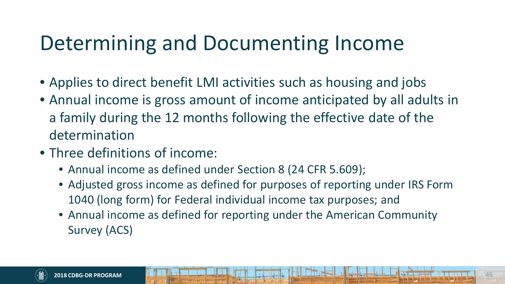# Determining and Documenting Income

- Applies to direct benefit LMI activities such as housing and jobs
- Annual income is gross amount of income anticipated by all adults in a family during the 12 months following the effective date of the determination
- Three definitions of income:
	- Annual income as defined under Section 8 (24 CFR 5.609);
	- Adjusted gross income as defined for purposes of reporting under IRS Form 1040 (long form) for Federal individual income tax purposes; and
	- Annual income as defined for reporting under the American Community Survey (ACS)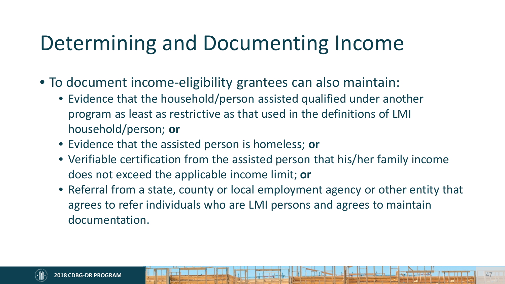# Determining and Documenting Income

- To document income-eligibility grantees can also maintain:
	- Evidence that the household/person assisted qualified under another program as least as restrictive as that used in the definitions of LMI household/person; **or**
	- Evidence that the assisted person is homeless; **or**
	- Verifiable certification from the assisted person that his/her family income does not exceed the applicable income limit; **or**
	- Referral from a state, county or local employment agency or other entity that agrees to refer individuals who are LMI persons and agrees to maintain documentation.

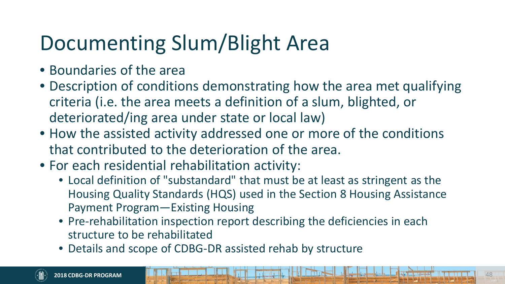# Documenting Slum/Blight Area

- Boundaries of the area
- Description of conditions demonstrating how the area met qualifying criteria (i.e. the area meets a definition of a slum, blighted, or deteriorated/ing area under state or local law)
- How the assisted activity addressed one or more of the conditions that contributed to the deterioration of the area.
- For each residential rehabilitation activity:
	- Local definition of "substandard" that must be at least as stringent as the Housing Quality Standards (HQS) used in the Section 8 Housing Assistance Payment Program—Existing Housing
	- Pre-rehabilitation inspection report describing the deficiencies in each structure to be rehabilitated
	- Details and scope of CDBG-DR assisted rehab by structure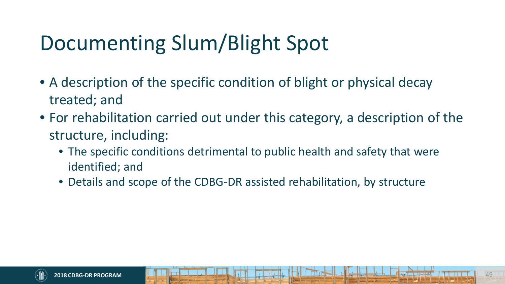# Documenting Slum/Blight Spot

- A description of the specific condition of blight or physical decay treated; and
- For rehabilitation carried out under this category, a description of the structure, including:
	- The specific conditions detrimental to public health and safety that were identified; and
	- Details and scope of the CDBG-DR assisted rehabilitation, by structure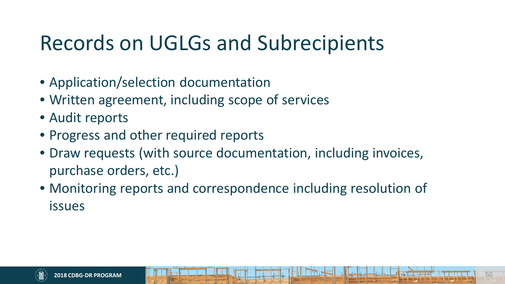# Records on UGLGs and Subrecipients

- Application/selection documentation
- Written agreement, including scope of services
- Audit reports
- Progress and other required reports
- Draw requests (with source documentation, including invoices, purchase orders, etc.)
- Monitoring reports and correspondence including resolution of issues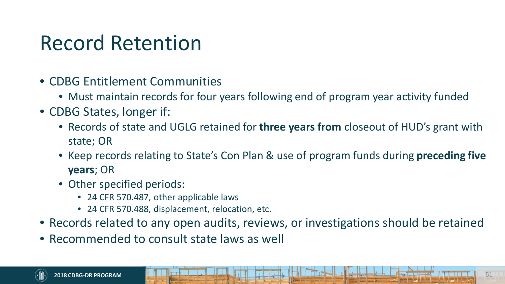### Record Retention

- CDBG Entitlement Communities
	- Must maintain records for four years following end of program year activity funded
- CDBG States, longer if:
	- Records of state and UGLG retained for **three years from** closeout of HUD's grant with state; OR
	- Keep records relating to State's Con Plan & use of program funds during **preceding five years**; OR
	- Other specified periods:
		- 24 CFR 570.487, other applicable laws
		- 24 CFR 570.488, displacement, relocation, etc.
- Records related to any open audits, reviews, or investigations should be retained
- Recommended to consult state laws as well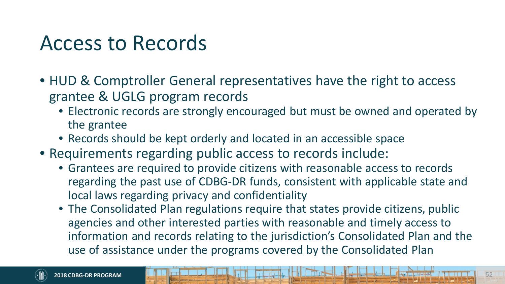#### Access to Records

- HUD & Comptroller General representatives have the right to access grantee & UGLG program records
	- Electronic records are strongly encouraged but must be owned and operated by the grantee
	- Records should be kept orderly and located in an accessible space
- Requirements regarding public access to records include:
	- Grantees are required to provide citizens with reasonable access to records regarding the past use of CDBG-DR funds, consistent with applicable state and local laws regarding privacy and confidentiality
	- The Consolidated Plan regulations require that states provide citizens, public agencies and other interested parties with reasonable and timely access to information and records relating to the jurisdiction's Consolidated Plan and the use of assistance under the programs covered by the Consolidated Plan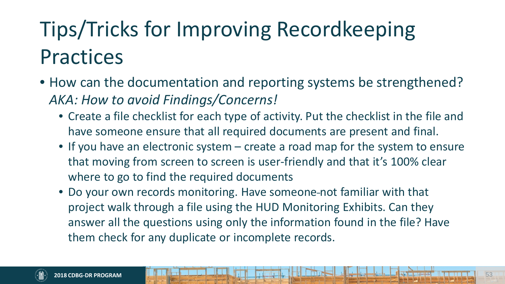# Tips/Tricks for Improving Recordkeeping **Practices**

- How can the documentation and reporting systems be strengthened? *AKA: How to avoid Findings/Concerns!*
	- Create a file checklist for each type of activity. Put the checklist in the file and have someone ensure that all required documents are present and final.
	- If you have an electronic system create a road map for the system to ensure that moving from screen to screen is user-friendly and that it's 100% clear where to go to find the required documents
	- Do your own records monitoring. Have someone not familiar with that project walk through a file using the HUD Monitoring Exhibits. Can they answer all the questions using only the information found in the file? Have them check for any duplicate or incomplete records.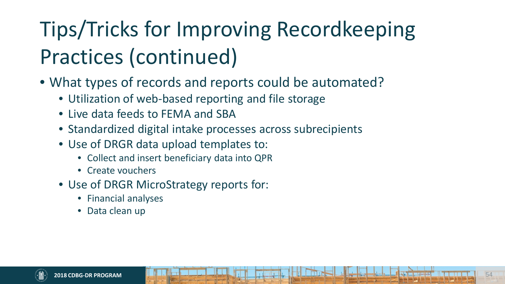# Tips/Tricks for Improving Recordkeeping Practices (continued)

- What types of records and reports could be automated?
	- Utilization of web-based reporting and file storage
	- Live data feeds to FEMA and SBA
	- Standardized digital intake processes across subrecipients
	- Use of DRGR data upload templates to:
		- Collect and insert beneficiary data into QPR
		- Create vouchers
	- Use of DRGR MicroStrategy reports for:
		- Financial analyses
		- Data clean up

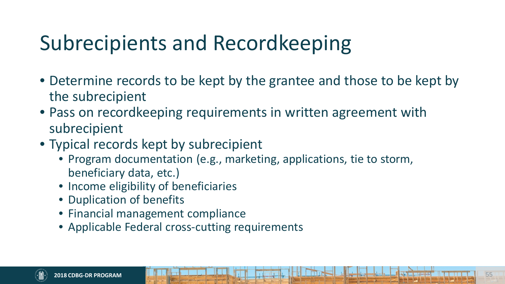# Subrecipients and Recordkeeping

- Determine records to be kept by the grantee and those to be kept by the subrecipient
- Pass on recordkeeping requirements in written agreement with subrecipient
- Typical records kept by subrecipient
	- Program documentation (e.g., marketing, applications, tie to storm, beneficiary data, etc.)
	- Income eligibility of beneficiaries
	- Duplication of benefits
	- Financial management compliance
	- Applicable Federal cross-cutting requirements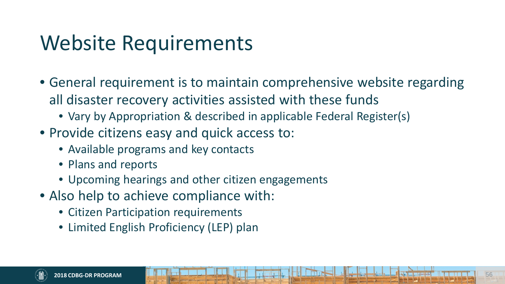# Website Requirements

- General requirement is to maintain comprehensive website regarding all disaster recovery activities assisted with these funds
	- Vary by Appropriation & described in applicable Federal Register(s)
- Provide citizens easy and quick access to:
	- Available programs and key contacts
	- Plans and reports
	- Upcoming hearings and other citizen engagements
- Also help to achieve compliance with:
	- Citizen Participation requirements
	- Limited English Proficiency (LEP) plan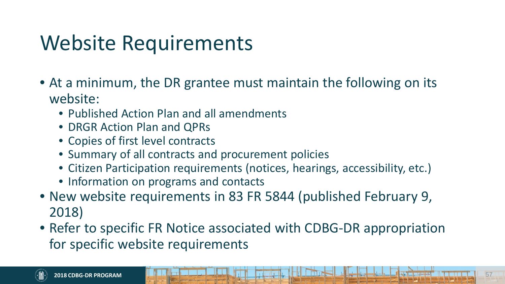# Website Requirements

- At a minimum, the DR grantee must maintain the following on its website:
	- Published Action Plan and all amendments
	- DRGR Action Plan and QPRs
	- Copies of first level contracts
	- Summary of all contracts and procurement policies
	- Citizen Participation requirements (notices, hearings, accessibility, etc.)
	- Information on programs and contacts
- New website requirements in 83 FR 5844 (published February 9, 2018)
- Refer to specific FR Notice associated with CDBG-DR appropriation for specific website requirements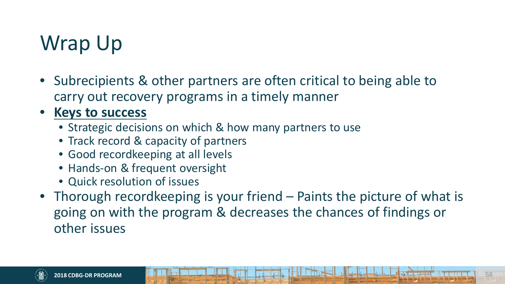# Wrap Up

• Subrecipients & other partners are often critical to being able to carry out recovery programs in a timely manner

#### • **Keys to success**

- Strategic decisions on which & how many partners to use
- Track record & capacity of partners
- Good recordkeeping at all levels
- Hands-on & frequent oversight
- Quick resolution of issues
- Thorough recordkeeping is your friend Paints the picture of what is going on with the program & decreases the chances of findings or other issues